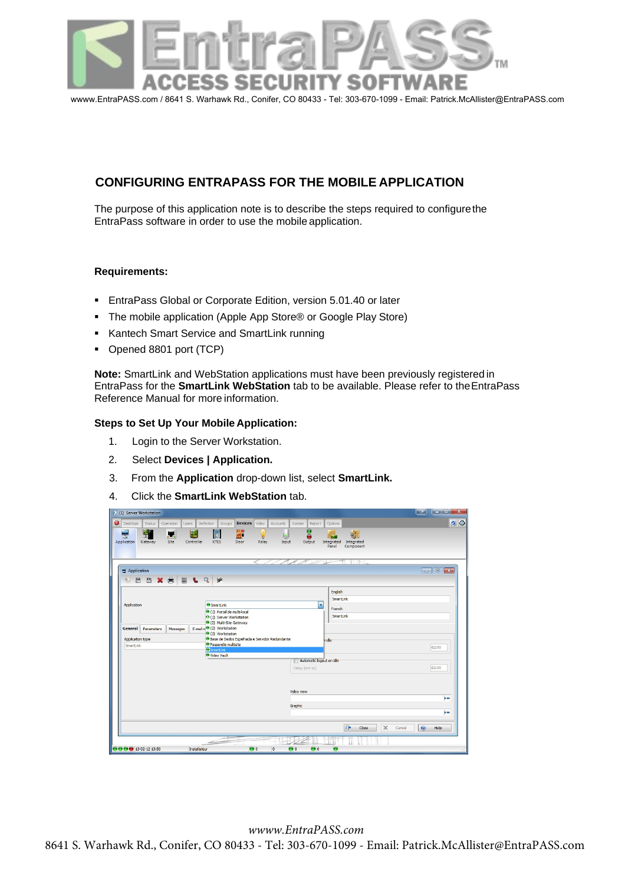

# **CONFIGURING ENTRAPASS FOR THE MOBILE APPLICATION**

The purpose of this application note is to describe the steps required to configurethe EntraPass software in order to use the mobile application.

# **Requirements:**

- EntraPass Global or Corporate Edition, version 5.01.40 or later
- The mobile application (Apple App Store® or Google Play Store)
- **Kantech Smart Service and SmartLink running**
- Opened 8801 port (TCP)

**Note:** SmartLink and WebStation applications must have been previously registered in EntraPass for the **SmartLink WebStation** tab to be available. Please refer to theEntraPass Reference Manual for more information.

# **Steps to Set Up Your Mobile Application:**

- 1. Login to the Server Workstation.
- 2. Select **Devices | Application.**
- 3. From the **Application** drop-down list, select **SmartLink.**
- 4. Click the **SmartLink WebStation** tab.

| $\Phi$<br>(1) Server Workstation                                     | l e j                                                                                                                                                                                                   |     |
|----------------------------------------------------------------------|---------------------------------------------------------------------------------------------------------------------------------------------------------------------------------------------------------|-----|
| $\bullet$<br>Desktops<br>Status<br>Operation<br><b>Users</b>         | <b>Devices</b><br><b>Definition</b><br>Video<br>Groups<br>Accounts<br>System<br>Report<br>Options                                                                                                       | 0 0 |
| 學<br><b>P.R</b><br>ш<br>Application<br>Gateway<br>Site<br>Controller | Θ<br><b>A</b> <sup>e</sup><br>c<br>编<br>¥<br>e<br><b>KTES</b><br>Door<br>Relay<br>Input<br>Output<br>Integrated<br>Integrated<br>Panel<br>Component                                                     |     |
| Application<br>EBBXa<br>EL                                           | 11-34<br>╱<br>Q<br>幽                                                                                                                                                                                    |     |
| Application                                                          | English<br>SmartLink<br><b>O</b> SmartLink<br>۰<br>French<br>(1) Portal de multi-local<br>SmartLink<br>O (1) Server Workstation<br>(2) Multi-Site Gateway                                               |     |
| General<br>Parameters<br>Messages<br>Application type<br>SmartLink   | E-mail re <sup>o</sup> (2) Workstation<br>(3) Workstation<br>Base de Dados Espelhada e Servidor Redundante<br>h idle <sup>-</sup><br><b>O</b> Passerelle multisite<br>02:00<br>SmartLink<br>Wideo Vault |     |
|                                                                      | Automatic logout on idle<br>02:00<br>Delay (mm:ss)                                                                                                                                                      |     |
|                                                                      | Video view                                                                                                                                                                                              | 600 |
|                                                                      | Graphic                                                                                                                                                                                                 |     |
|                                                                      |                                                                                                                                                                                                         | 000 |
|                                                                      | 0<br>$\times$<br>$\odot$<br>Close<br>Help<br>Cancel                                                                                                                                                     |     |
| ●●●●13-02-12 13:50                                                   | $\bullet$<br>$\bullet$<br>Installateur<br>$\bullet$ 8<br>$\overline{0}$                                                                                                                                 |     |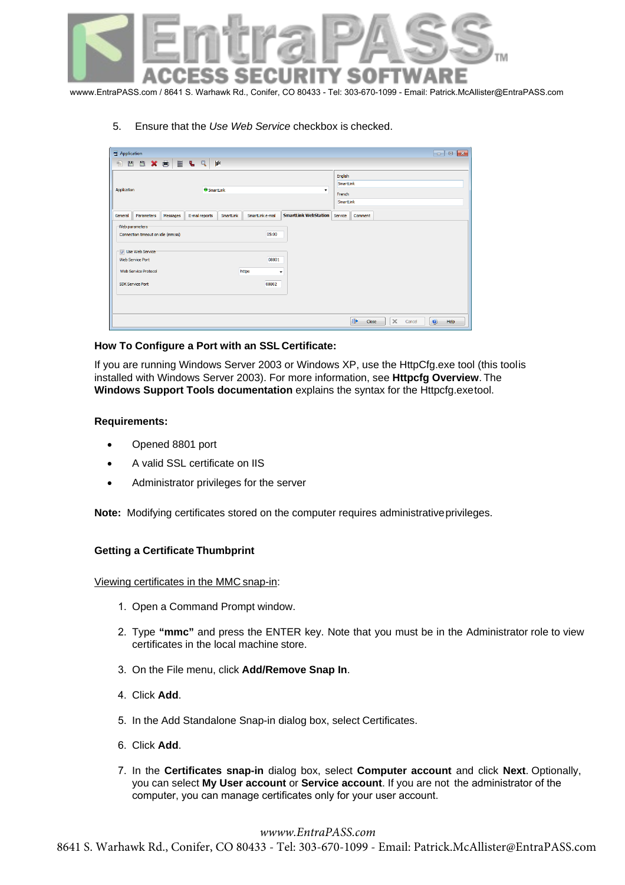

5. Ensure that the *Use Web Service* checkbox is checked.

| Application                        |                                                         |          |  |                |           |                  |                                     |  |                     |  |             |        |           | $-x$<br>-- 0 |
|------------------------------------|---------------------------------------------------------|----------|--|----------------|-----------|------------------|-------------------------------------|--|---------------------|--|-------------|--------|-----------|--------------|
|                                    | <b>BBOXBELQ</b>                                         |          |  | 惨              |           |                  |                                     |  |                     |  |             |        |           |              |
|                                    |                                                         |          |  |                |           |                  | English<br>SmartLink                |  |                     |  |             |        |           |              |
|                                    | <b>SmartLink</b><br>Application<br>$\cdot$              |          |  |                |           |                  |                                     |  | French<br>SmartLink |  |             |        |           |              |
| General                            | Parameters                                              | Messages |  | E-mail reports | SmartLink | SmartLink e-mail | <b>SmartLink WebStation</b> Service |  | Comment             |  |             |        |           |              |
| Web parameters<br>Web Service Port | Connection timeout on idle (mm:ss)<br>V Use Web Service |          |  |                |           | 05:00<br>08801   |                                     |  |                     |  |             |        |           |              |
| <b>SDK Service Port</b>            | Web Service Protocol                                    |          |  |                |           | https<br>08802   | ۰                                   |  |                     |  |             |        |           |              |
|                                    |                                                         |          |  |                |           |                  |                                     |  | 0<br>Close          |  | $\mathbb X$ | Cancel | $\bullet$ | Help         |

## **How To Configure a Port with an SSL Certificate:**

If you are running Windows Server 2003 or Windows XP, use the HttpCfg.exe tool (this toolis installed with Windows Server 2003). For more information, see **Httpcfg Overview**. The **Windows Support Tools documentation** explains the syntax for the Httpcfg.exetool.

#### **Requirements:**

- Opened 8801 port
- A valid SSL certificate on IIS
- Administrator privileges for the server

**Note:** Modifying certificates stored on the computer requires administrativeprivileges.

# **Getting a Certificate Thumbprint**

Viewing certificates in the MMC snap-in:

- 1. Open a Command Prompt window.
- 2. Type **"mmc"** and press the ENTER key. Note that you must be in the Administrator role to view certificates in the local machine store.
- 3. On the File menu, click **Add/Remove Snap In**.
- 4. Click **Add**.
- 5. In the Add Standalone Snap-in dialog box, select Certificates.
- 6. Click **Add**.
- 7. In the **Certificates snap-in** dialog box, select **Computer account** and click **Next**. Optionally, you can select **My User account** or **Service account**. If you are not the administrator of the computer, you can manage certificates only for your user account.

### *wwww.EntraPASS.com*

8641 S. Warhawk Rd., Co[nifer, CO 80433 -](http://www.entrapass.com/) Tel: 303-670-1099 - Email: Patrick.McAllister@EntraPASS.com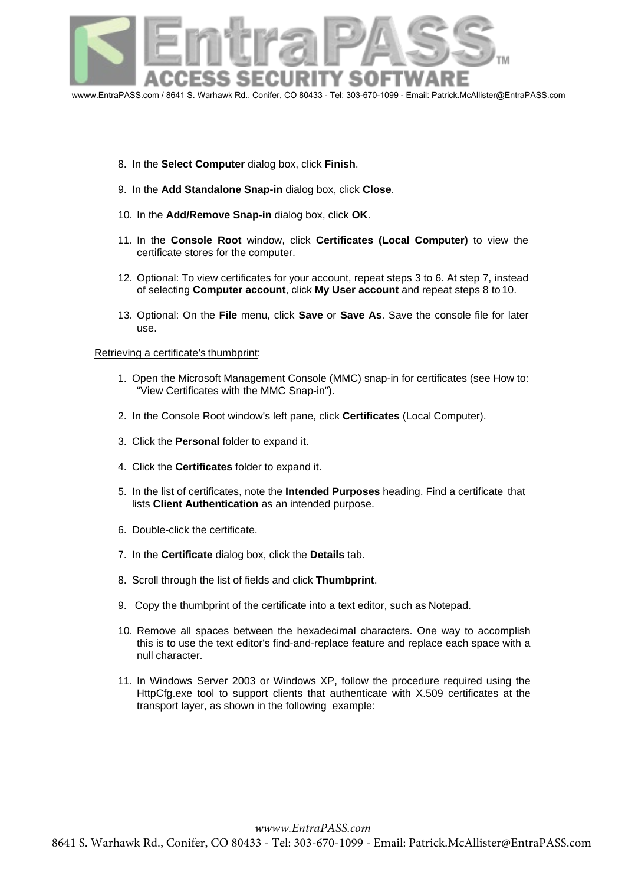

- 8. In the **Select Computer** dialog box, click **Finish**.
- 9. In the **Add Standalone Snap-in** dialog box, click **Close**.
- 10. In the **Add/Remove Snap-in** dialog box, click **OK**.
- 11. In the **Console Root** window, click **Certificates (Local Computer)** to view the certificate stores for the computer.
- 12. Optional: To view certificates for your account, repeat steps 3 to 6. At step 7, instead of selecting **Computer account**, click **My User account** and repeat steps 8 to 10.
- 13. Optional: On the **File** menu, click **Save** or **Save As**. Save the console file for later use.

#### Retrieving a certificate's thumbprint:

- 1. Open the Microsoft Management Console (MMC) snap-in for certificates (see How to: "View Certificates with the MMC Snap-in").
- 2. [In the Console Root window's left pane, cli](http://msdn.microsoft.com/en-us/library/ms788967.aspx)ck **Certificates** (Local Computer).
- 3. Click the **Personal** folder to expand it.
- 4. Click the **Certificates** folder to expand it.
- 5. In the list of certificates, note the **Intended Purposes** heading. Find a certificate that lists **Client Authentication** as an intended purpose.
- 6. Double-click the certificate.
- 7. In the **Certificate** dialog box, click the **Details** tab.
- 8. Scroll through the list of fields and click **Thumbprint**.
- 9. Copy the thumbprint of the certificate into a text editor, such as Notepad.
- 10. Remove all spaces between the hexadecimal characters. One way to accomplish this is to use the text editor's find-and-replace feature and replace each space with a null character.
- 11. In Windows Server 2003 or Windows XP, follow the procedure required using the HttpCfg.exe tool to support clients that authenticate with X.509 certificates at the transport layer, as shown in the following example: